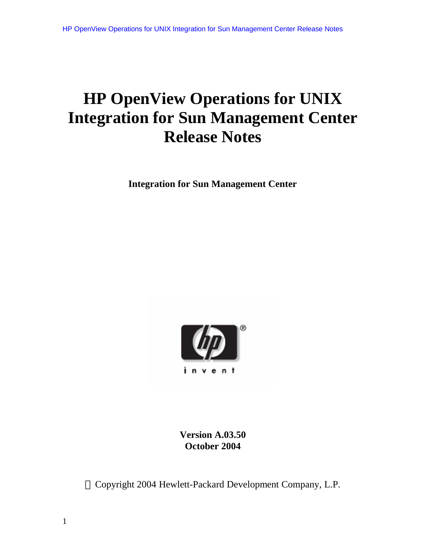# **HP OpenView Operations for UNIX Integration for Sun Management Center Release Notes**

**Integration for Sun Management Center**



**Version A.03.50 October 2004**

Copyright 2004 Hewlett-Packard Development Company, L.P.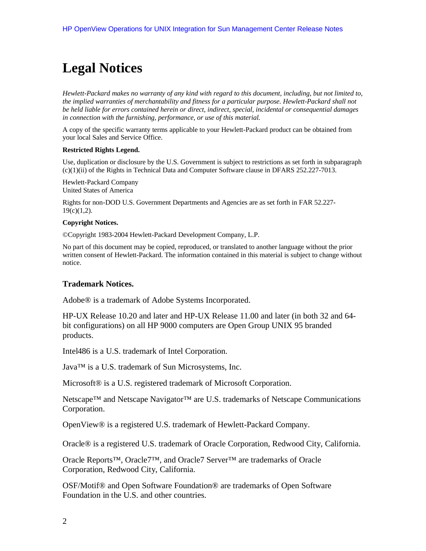# **Legal Notices**

*Hewlett-Packard makes no warranty of any kind with regard to this document, including, but not limited to, the implied warranties of merchantability and fitness for a particular purpose. Hewlett-Packard shall not be held liable for errors contained herein or direct, indirect, special, incidental or consequential damages in connection with the furnishing, performance, or use of this material.*

A copy of the specific warranty terms applicable to your Hewlett-Packard product can be obtained from your local Sales and Service Office.

#### **Restricted Rights Legend.**

Use, duplication or disclosure by the U.S. Government is subject to restrictions as set forth in subparagraph (c)(1)(ii) of the Rights in Technical Data and Computer Software clause in DFARS 252.227-7013.

Hewlett-Packard Company United States of America

Rights for non-DOD U.S. Government Departments and Agencies are as set forth in FAR 52.227-  $19(c)(1,2)$ .

#### **Copyright Notices.**

©Copyright 1983-2004 Hewlett-Packard Development Company, L.P.

No part of this document may be copied, reproduced, or translated to another language without the prior written consent of Hewlett-Packard. The information contained in this material is subject to change without notice.

#### **Trademark Notices.**

Adobe® is a trademark of Adobe Systems Incorporated.

HP-UX Release 10.20 and later and HP-UX Release 11.00 and later (in both 32 and 64 bit configurations) on all HP 9000 computers are Open Group UNIX 95 branded products.

Intel486 is a U.S. trademark of Intel Corporation.

Java™ is a U.S. trademark of Sun Microsystems, Inc.

Microsoft® is a U.S. registered trademark of Microsoft Corporation.

Netscape™ and Netscape Navigator™ are U.S. trademarks of Netscape Communications Corporation.

OpenView® is a registered U.S. trademark of Hewlett-Packard Company.

Oracle® is a registered U.S. trademark of Oracle Corporation, Redwood City, California.

Oracle Reports™, Oracle7™, and Oracle7 Server™ are trademarks of Oracle Corporation, Redwood City, California.

OSF/Motif® and Open Software Foundation® are trademarks of Open Software Foundation in the U.S. and other countries.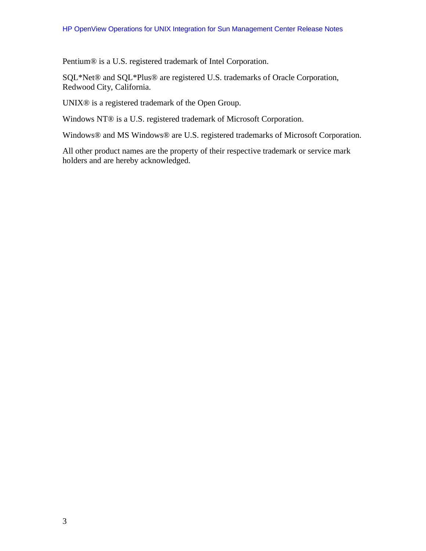Pentium® is a U.S. registered trademark of Intel Corporation.

SQL\*Net® and SQL\*Plus® are registered U.S. trademarks of Oracle Corporation, Redwood City, California.

UNIX® is a registered trademark of the Open Group.

Windows NT® is a U.S. registered trademark of Microsoft Corporation.

Windows® and MS Windows® are U.S. registered trademarks of Microsoft Corporation.

All other product names are the property of their respective trademark or service mark holders and are hereby acknowledged.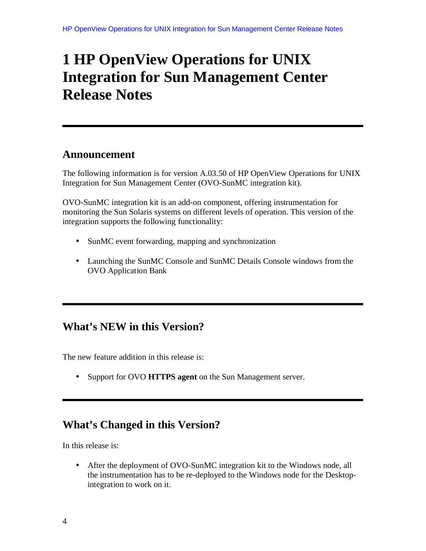# **1 HP OpenView Operations for UNIX Integration for Sun Management Center Release Notes**

## **Announcement**

The following information is for version A.03.50 of HP OpenView Operations for UNIX Integration for Sun Management Center (OVO-SunMC integration kit).

OVO-SunMC integration kit is an add-on component, offering instrumentation for monitoring the Sun Solaris systems on different levels of operation. This version of the integration supports the following functionality:

- SunMC event forwarding, mapping and synchronization
- Launching the SunMC Console and SunMC Details Console windows from the OVO Application Bank

## **What's NEW in this Version?**

The new feature addition in this release is:

• Support for OVO **HTTPS agent** on the Sun Management server.

# **What's Changed in this Version?**

In this release is:

• After the deployment of OVO-SunMC integration kit to the Windows node, all the instrumentation has to be re-deployed to the Windows node for the Desktopintegration to work on it.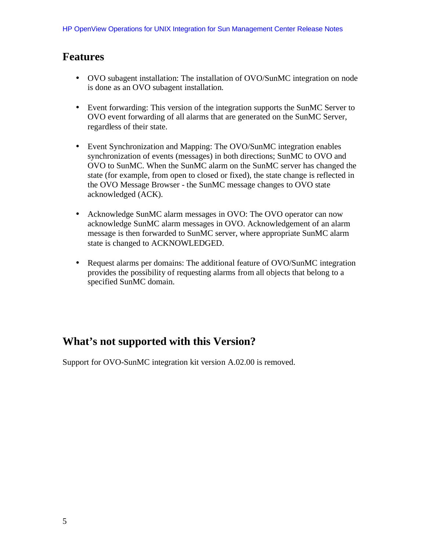## **Features**

- OVO subagent installation: The installation of OVO/SunMC integration on node is done as an OVO subagent installation.
- Event forwarding: This version of the integration supports the SunMC Server to OVO event forwarding of all alarms that are generated on the SunMC Server, regardless of their state.
- Event Synchronization and Mapping: The OVO/SunMC integration enables synchronization of events (messages) in both directions; SunMC to OVO and OVO to SunMC. When the SunMC alarm on the SunMC server has changed the state (for example, from open to closed or fixed), the state change is reflected in the OVO Message Browser - the SunMC message changes to OVO state acknowledged (ACK).
- Acknowledge SunMC alarm messages in OVO: The OVO operator can now acknowledge SunMC alarm messages in OVO. Acknowledgement of an alarm message is then forwarded to SunMC server, where appropriate SunMC alarm state is changed to ACKNOWLEDGED.
- Request alarms per domains: The additional feature of OVO/SunMC integration provides the possibility of requesting alarms from all objects that belong to a specified SunMC domain.

# **What's not supported with this Version?**

Support for OVO-SunMC integration kit version A.02.00 is removed.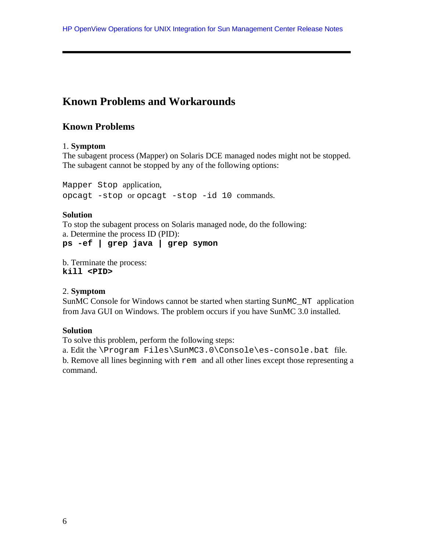# **Known Problems and Workarounds**

## **Known Problems**

#### 1. **Symptom**

The subagent process (Mapper) on Solaris DCE managed nodes might not be stopped. The subagent cannot be stopped by any of the following options:

Mapper Stop application, opcagt -stop or opcagt -stop -id 10 commands.

#### **Solution**

To stop the subagent process on Solaris managed node, do the following: a. Determine the process ID (PID): **ps -ef | grep java | grep symon**

b. Terminate the process: **kill <PID>**

#### 2. **Symptom**

SunMC Console for Windows cannot be started when starting SunMC\_NT application from Java GUI on Windows. The problem occurs if you have SunMC 3.0 installed.

#### **Solution**

To solve this problem, perform the following steps:

a. Edit the \Program Files\SunMC3.0\Console\es-console.bat file. b. Remove all lines beginning with rem and all other lines except those representing a command.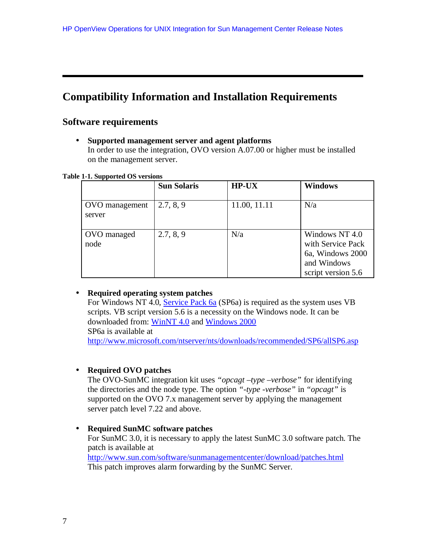## **Compatibility Information and Installation Requirements**

## **Software requirements**

• **Supported management server and agent platforms**

In order to use the integration, OVO version A.07.00 or higher must be installed on the management server.

**Table 1-1. Supported OS versions**

|                          | <b>Sun Solaris</b> | <b>HP-UX</b> | <b>Windows</b>                                                                               |
|--------------------------|--------------------|--------------|----------------------------------------------------------------------------------------------|
| OVO management<br>server | 2.7, 8, 9          | 11.00, 11.11 | N/a                                                                                          |
| OVO managed<br>node      | 2.7, 8, 9          | N/a          | Windows NT 4.0<br>with Service Pack<br>6a, Windows 2000<br>and Windows<br>script version 5.6 |

#### • **Required operating system patches**

For Windows NT 4.0, Service Pack 6a (SP6a) is required as the system uses VB scripts. VB script version 5.6 is a necessity on the Windows node. It can be downloaded from: WinNT 4.0 and Windows 2000 SP6a is available at http://www.microsoft.com/ntserver/nts/downloads/recommended/SP6/allSP6.asp

#### • **Required OVO patches**

The OVO-SunMC integration kit uses *"opcagt –type –verbose"* for identifying the directories and the node type. The option *"-type -verbose"* in *"opcagt"* is supported on the OVO 7.x management server by applying the management server patch level 7.22 and above.

• **Required SunMC software patches** For SunMC 3.0, it is necessary to apply the latest SunMC 3.0 software patch. The patch is available at http://www.sun.com/software/sunmanagementcenter/download/patches.html This patch improves alarm forwarding by the SunMC Server.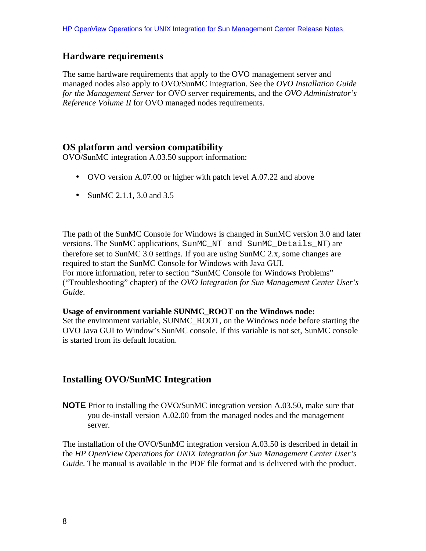## **Hardware requirements**

The same hardware requirements that apply to the OVO management server and managed nodes also apply to OVO/SunMC integration. See the *OVO Installation Guide for the Management Server* for OVO server requirements, and the *OVO Administrator's Reference Volume II* for OVO managed nodes requirements.

## **OS platform and version compatibility**

OVO/SunMC integration A.03.50 support information:

- OVO version A.07.00 or higher with patch level A.07.22 and above
- SunMC 2.1.1, 3.0 and 3.5

The path of the SunMC Console for Windows is changed in SunMC version 3.0 and later versions. The SunMC applications, SunMC\_NT and SunMC\_Details\_NT) are therefore set to SunMC 3.0 settings. If you are using SunMC 2.x, some changes are required to start the SunMC Console for Windows with Java GUI. For more information, refer to section "SunMC Console for Windows Problems" ("Troubleshooting" chapter) of the *OVO Integration for Sun Management Center User's Guide*.

#### **Usage of environment variable SUNMC\_ROOT on the Windows node:**

Set the environment variable, SUNMC\_ROOT, on the Windows node before starting the OVO Java GUI to Window's SunMC console. If this variable is not set, SunMC console is started from its default location.

## **Installing OVO/SunMC Integration**

**NOTE** Prior to installing the OVO/SunMC integration version A.03.50, make sure that you de-install version A.02.00 from the managed nodes and the management server.

The installation of the OVO/SunMC integration version A.03.50 is described in detail in the *HP OpenView Operations for UNIX Integration for Sun Management Center User's Guide*. The manual is available in the PDF file format and is delivered with the product.